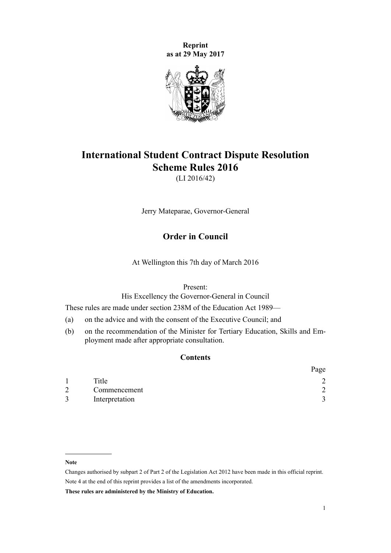**Reprint as at 29 May 2017**



# **International Student Contract Dispute Resolution Scheme Rules 2016**

(LI 2016/42)

Jerry Mateparae, Governor-General

# **Order in Council**

At Wellington this 7th day of March 2016

Present:

His Excellency the Governor-General in Council

These rules are made under [section 238M](http://prd-lgnz-nlb.prd.pco.net.nz/pdflink.aspx?id=DLM6890472) of the Education Act 1989—

- (a) on the advice and with the consent of the Executive Council; and
- (b) on the recommendation of the Minister for Tertiary Education, Skills and Employment made after appropriate consultation.

# **Contents**

|   |                | Page     |
|---|----------------|----------|
|   | Title          |          |
| 2 | Commencement   | ◠        |
| 3 | Interpretation | $\gamma$ |

#### **Note**

**These rules are administered by the Ministry of Education.**

Changes authorised by [subpart 2](http://prd-lgnz-nlb.prd.pco.net.nz/pdflink.aspx?id=DLM2998524) of Part 2 of the Legislation Act 2012 have been made in this official reprint. Note 4 at the end of this reprint provides a list of the amendments incorporated.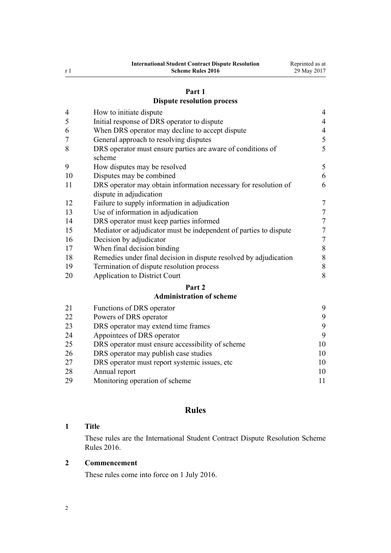#### **[Part 1](#page-3-0)**

## **[Dispute resolution process](#page-3-0)**

<span id="page-1-0"></span>

| $\overline{4}$ | How to initiate dispute                                                                    | $\overline{4}$   |
|----------------|--------------------------------------------------------------------------------------------|------------------|
| 5              | Initial response of DRS operator to dispute                                                | $\overline{4}$   |
| 6              | When DRS operator may decline to accept dispute                                            | $\overline{4}$   |
| 7              | General approach to resolving disputes                                                     | 5                |
| 8              | DRS operator must ensure parties are aware of conditions of<br>scheme                      | 5                |
| 9              | How disputes may be resolved                                                               | 5                |
| 10             | Disputes may be combined                                                                   | 6                |
| 11             | DRS operator may obtain information necessary for resolution of<br>dispute in adjudication | 6                |
| 12             | Failure to supply information in adjudication                                              | $\boldsymbol{7}$ |
| 13             | Use of information in adjudication                                                         | $\boldsymbol{7}$ |
| 14             | DRS operator must keep parties informed                                                    | $\overline{7}$   |
| 15             | Mediator or adjudicator must be independent of parties to dispute                          | $\boldsymbol{7}$ |
| 16             | Decision by adjudicator                                                                    | $\overline{7}$   |
| 17             | When final decision binding                                                                | $\,$ $\,$        |
| 18             | Remedies under final decision in dispute resolved by adjudication                          | $\,$ $\,$        |
| 19             | Termination of dispute resolution process                                                  | $\,$ $\,$        |
| 20             | <b>Application to District Court</b>                                                       | 8                |
|                | Part 2                                                                                     |                  |
|                | <b>Administration of scheme</b>                                                            |                  |
| 21             | Functions of DRS operator                                                                  | 9                |
| 22             | Powers of DRS operator                                                                     | 9                |
| 23             | DRS operator may extend time frames                                                        | 9                |

 [Appointees of DRS operator](#page-8-0) [9](#page-8-0) [DRS operator must ensure accessibility of scheme](#page-9-0) [10](#page-9-0) [DRS operator may publish case studies](#page-9-0) [10](#page-9-0) [DRS operator must report systemic issues, etc](#page-9-0) [10](#page-9-0) [Annual report](#page-9-0) [10](#page-9-0)

[Monitoring operation of scheme](#page-10-0) [11](#page-10-0)

# **Rules**

#### **Title**

These rules are the International Student Contract Dispute Resolution Scheme Rules 2016.

#### **Commencement**

These rules come into force on 1 July 2016.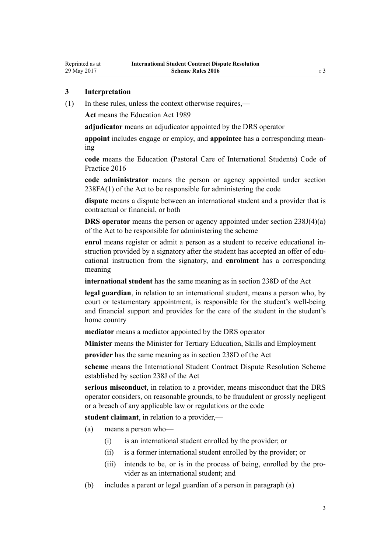## <span id="page-2-0"></span>**3 Interpretation**

(1) In these rules, unless the context otherwise requires,—

**Act** means the [Education Act 1989](http://prd-lgnz-nlb.prd.pco.net.nz/pdflink.aspx?id=DLM175958)

**adjudicator** means an adjudicator appointed by the DRS operator

**appoint** includes engage or employ, and **appointee** has a corresponding meaning

**code** means the [Education \(Pastoral Care of International Students\) Code of](http://prd-lgnz-nlb.prd.pco.net.nz/pdflink.aspx?id=DLM6748146) [Practice 2016](http://prd-lgnz-nlb.prd.pco.net.nz/pdflink.aspx?id=DLM6748146)

**code administrator** means the person or agency appointed under [section](http://prd-lgnz-nlb.prd.pco.net.nz/pdflink.aspx?id=DLM6890479) [238FA\(1\)](http://prd-lgnz-nlb.prd.pco.net.nz/pdflink.aspx?id=DLM6890479) of the Act to be responsible for administering the code

**dispute** means a dispute between an international student and a provider that is contractual or financial, or both

**DRS operator** means the person or agency appointed under [section 238J\(4\)\(a\)](http://prd-lgnz-nlb.prd.pco.net.nz/pdflink.aspx?id=DLM6890475) of the Act to be responsible for administering the scheme

**enrol** means register or admit a person as a student to receive educational instruction provided by a signatory after the student has accepted an offer of educational instruction from the signatory, and **enrolment** has a corresponding meaning

**international student** has the same meaning as in [section 238D](http://prd-lgnz-nlb.prd.pco.net.nz/pdflink.aspx?id=DLM185907) of the Act

**legal guardian**, in relation to an international student, means a person who, by court or testamentary appointment, is responsible for the student's well-being and financial support and provides for the care of the student in the student's home country

**mediator** means a mediator appointed by the DRS operator

**Minister** means the Minister for Tertiary Education, Skills and Employment

**provider** has the same meaning as in [section 238D](http://prd-lgnz-nlb.prd.pco.net.nz/pdflink.aspx?id=DLM185907) of the Act

**scheme** means the International Student Contract Dispute Resolution Scheme established by [section 238J](http://prd-lgnz-nlb.prd.pco.net.nz/pdflink.aspx?id=DLM6890475) of the Act

**serious misconduct**, in relation to a provider, means misconduct that the DRS operator considers, on reasonable grounds, to be fraudulent or grossly negligent or a breach of any applicable law or regulations or the code

**student claimant**, in relation to a provider,—

(a) means a person who—

- (i) is an international student enrolled by the provider; or
- (ii) is a former international student enrolled by the provider; or
- (iii) intends to be, or is in the process of being, enrolled by the provider as an international student; and
- (b) includes a parent or legal guardian of a person in paragraph (a)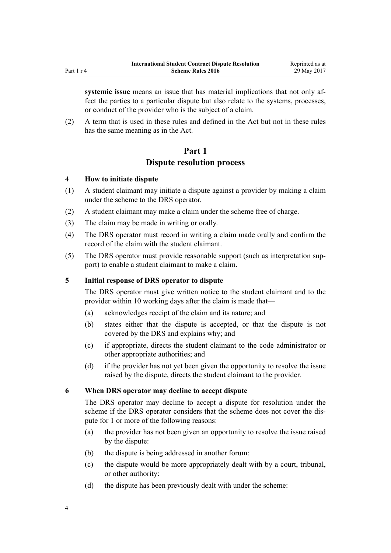<span id="page-3-0"></span>**systemic issue** means an issue that has material implications that not only affect the parties to a particular dispute but also relate to the systems, processes, or conduct of the provider who is the subject of a claim.

(2) A term that is used in these rules and defined in the Act but not in these rules has the same meaning as in the Act.

## **Part 1**

## **Dispute resolution process**

## **4 How to initiate dispute**

- (1) A student claimant may initiate a dispute against a provider by making a claim under the scheme to the DRS operator.
- (2) A student claimant may make a claim under the scheme free of charge.
- (3) The claim may be made in writing or orally.
- (4) The DRS operator must record in writing a claim made orally and confirm the record of the claim with the student claimant.
- (5) The DRS operator must provide reasonable support (such as interpretation support) to enable a student claimant to make a claim.

## **5 Initial response of DRS operator to dispute**

The DRS operator must give written notice to the student claimant and to the provider within 10 working days after the claim is made that—

- (a) acknowledges receipt of the claim and its nature; and
- (b) states either that the dispute is accepted, or that the dispute is not covered by the DRS and explains why; and
- (c) if appropriate, directs the student claimant to the code administrator or other appropriate authorities; and
- (d) if the provider has not yet been given the opportunity to resolve the issue raised by the dispute, directs the student claimant to the provider.

## **6 When DRS operator may decline to accept dispute**

The DRS operator may decline to accept a dispute for resolution under the scheme if the DRS operator considers that the scheme does not cover the dispute for 1 or more of the following reasons:

- (a) the provider has not been given an opportunity to resolve the issue raised by the dispute:
- (b) the dispute is being addressed in another forum:
- (c) the dispute would be more appropriately dealt with by a court, tribunal, or other authority:
- (d) the dispute has been previously dealt with under the scheme: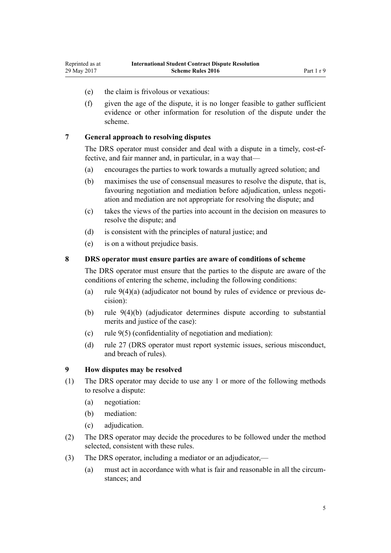- <span id="page-4-0"></span>(e) the claim is frivolous or vexatious:
- (f) given the age of the dispute, it is no longer feasible to gather sufficient evidence or other information for resolution of the dispute under the scheme.

## **7 General approach to resolving disputes**

The DRS operator must consider and deal with a dispute in a timely, cost-effective, and fair manner and, in particular, in a way that—

- (a) encourages the parties to work towards a mutually agreed solution; and
- (b) maximises the use of consensual measures to resolve the dispute, that is, favouring negotiation and mediation before adjudication, unless negotiation and mediation are not appropriate for resolving the dispute; and
- (c) takes the views of the parties into account in the decision on measures to resolve the dispute; and
- (d) is consistent with the principles of natural justice; and
- (e) is on a without prejudice basis.

## **8 DRS operator must ensure parties are aware of conditions of scheme**

The DRS operator must ensure that the parties to the dispute are aware of the conditions of entering the scheme, including the following conditions:

- (a) rule 9(4)(a) (adjudicator not bound by rules of evidence or previous decision):
- (b) rule 9(4)(b) (adjudicator determines dispute according to substantial merits and justice of the case):
- (c) rule 9(5) (confidentiality of negotiation and mediation):
- (d) [rule 27](#page-9-0) (DRS operator must report systemic issues, serious misconduct, and breach of rules).

#### **9 How disputes may be resolved**

- (1) The DRS operator may decide to use any 1 or more of the following methods to resolve a dispute:
	- (a) negotiation:
	- (b) mediation:
	- (c) adjudication.
- (2) The DRS operator may decide the procedures to be followed under the method selected, consistent with these rules.
- (3) The DRS operator, including a mediator or an adjudicator,—
	- (a) must act in accordance with what is fair and reasonable in all the circumstances; and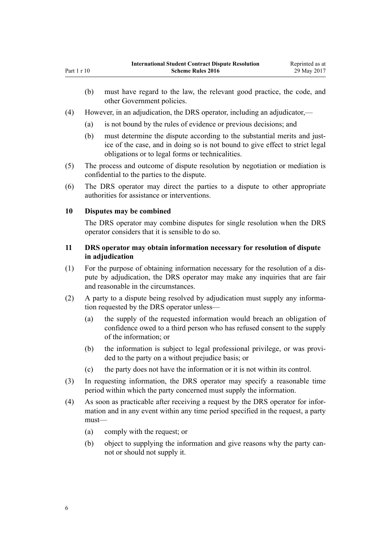- (b) must have regard to the law, the relevant good practice, the code, and other Government policies.
- (4) However, in an adjudication, the DRS operator, including an adjudicator,—
	- (a) is not bound by the rules of evidence or previous decisions; and
	- (b) must determine the dispute according to the substantial merits and justice of the case, and in doing so is not bound to give effect to strict legal obligations or to legal forms or technicalities.
- (5) The process and outcome of dispute resolution by negotiation or mediation is confidential to the parties to the dispute.
- (6) The DRS operator may direct the parties to a dispute to other appropriate authorities for assistance or interventions.

## **10 Disputes may be combined**

<span id="page-5-0"></span>Part 1 r 10

The DRS operator may combine disputes for single resolution when the DRS operator considers that it is sensible to do so.

## **11 DRS operator may obtain information necessary for resolution of dispute in adjudication**

- (1) For the purpose of obtaining information necessary for the resolution of a dispute by adjudication, the DRS operator may make any inquiries that are fair and reasonable in the circumstances.
- (2) A party to a dispute being resolved by adjudication must supply any information requested by the DRS operator unless—
	- (a) the supply of the requested information would breach an obligation of confidence owed to a third person who has refused consent to the supply of the information; or
	- (b) the information is subject to legal professional privilege, or was provided to the party on a without prejudice basis; or
	- (c) the party does not have the information or it is not within its control.
- (3) In requesting information, the DRS operator may specify a reasonable time period within which the party concerned must supply the information.
- (4) As soon as practicable after receiving a request by the DRS operator for information and in any event within any time period specified in the request, a party must—
	- (a) comply with the request; or
	- (b) object to supplying the information and give reasons why the party cannot or should not supply it.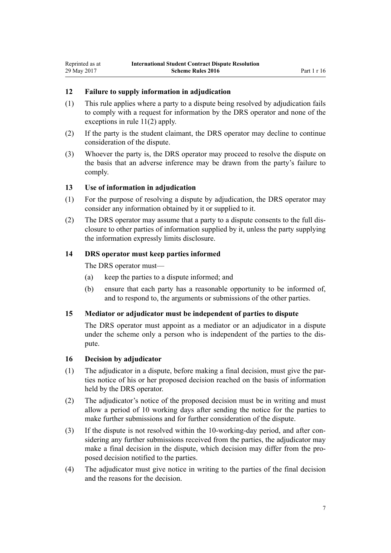#### <span id="page-6-0"></span>**12 Failure to supply information in adjudication**

- (1) This rule applies where a party to a dispute being resolved by adjudication fails to comply with a request for information by the DRS operator and none of the exceptions in [rule 11\(2\)](#page-5-0) apply.
- (2) If the party is the student claimant, the DRS operator may decline to continue consideration of the dispute.
- (3) Whoever the party is, the DRS operator may proceed to resolve the dispute on the basis that an adverse inference may be drawn from the party's failure to comply.

#### **13 Use of information in adjudication**

- (1) For the purpose of resolving a dispute by adjudication, the DRS operator may consider any information obtained by it or supplied to it.
- (2) The DRS operator may assume that a party to a dispute consents to the full disclosure to other parties of information supplied by it, unless the party supplying the information expressly limits disclosure.

#### **14 DRS operator must keep parties informed**

The DRS operator must—

- (a) keep the parties to a dispute informed; and
- (b) ensure that each party has a reasonable opportunity to be informed of, and to respond to, the arguments or submissions of the other parties.

#### **15 Mediator or adjudicator must be independent of parties to dispute**

The DRS operator must appoint as a mediator or an adjudicator in a dispute under the scheme only a person who is independent of the parties to the dispute.

#### **16 Decision by adjudicator**

- (1) The adjudicator in a dispute, before making a final decision, must give the parties notice of his or her proposed decision reached on the basis of information held by the DRS operator.
- (2) The adjudicator's notice of the proposed decision must be in writing and must allow a period of 10 working days after sending the notice for the parties to make further submissions and for further consideration of the dispute.
- (3) If the dispute is not resolved within the 10-working-day period, and after considering any further submissions received from the parties, the adjudicator may make a final decision in the dispute, which decision may differ from the proposed decision notified to the parties.
- (4) The adjudicator must give notice in writing to the parties of the final decision and the reasons for the decision.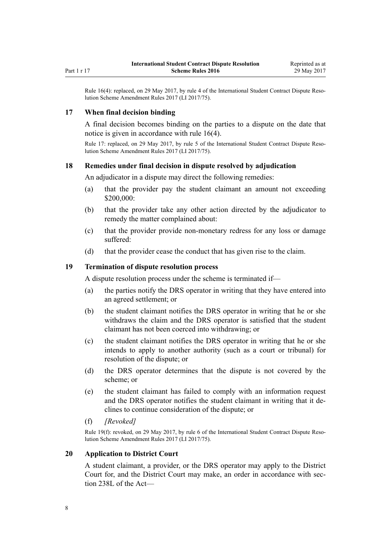<span id="page-7-0"></span>Rule 16(4): replaced, on 29 May 2017, by [rule 4](http://prd-lgnz-nlb.prd.pco.net.nz/pdflink.aspx?id=DLM7210708) of the International Student Contract Dispute Resolution Scheme Amendment Rules 2017 (LI 2017/75).

#### **17 When final decision binding**

A final decision becomes binding on the parties to a dispute on the date that notice is given in accordance with [rule 16\(4\).](#page-6-0)

Rule 17: replaced, on 29 May 2017, by [rule 5](http://prd-lgnz-nlb.prd.pco.net.nz/pdflink.aspx?id=DLM7210709) of the International Student Contract Dispute Resolution Scheme Amendment Rules 2017 (LI 2017/75).

#### **18 Remedies under final decision in dispute resolved by adjudication**

An adjudicator in a dispute may direct the following remedies:

- (a) that the provider pay the student claimant an amount not exceeding \$200,000:
- (b) that the provider take any other action directed by the adjudicator to remedy the matter complained about:
- (c) that the provider provide non-monetary redress for any loss or damage suffered:
- (d) that the provider cease the conduct that has given rise to the claim.

#### **19 Termination of dispute resolution process**

A dispute resolution process under the scheme is terminated if—

- (a) the parties notify the DRS operator in writing that they have entered into an agreed settlement; or
- (b) the student claimant notifies the DRS operator in writing that he or she withdraws the claim and the DRS operator is satisfied that the student claimant has not been coerced into withdrawing; or
- (c) the student claimant notifies the DRS operator in writing that he or she intends to apply to another authority (such as a court or tribunal) for resolution of the dispute; or
- (d) the DRS operator determines that the dispute is not covered by the scheme; or
- (e) the student claimant has failed to comply with an information request and the DRS operator notifies the student claimant in writing that it declines to continue consideration of the dispute; or
- (f) *[Revoked]*

Rule 19(f): revoked, on 29 May 2017, by [rule 6](http://prd-lgnz-nlb.prd.pco.net.nz/pdflink.aspx?id=DLM7210711) of the International Student Contract Dispute Resolution Scheme Amendment Rules 2017 (LI 2017/75).

#### **20 Application to District Court**

A student claimant, a provider, or the DRS operator may apply to the District Court for, and the District Court may make, an order in accordance with [sec](http://prd-lgnz-nlb.prd.pco.net.nz/pdflink.aspx?id=DLM6891018)[tion 238L](http://prd-lgnz-nlb.prd.pco.net.nz/pdflink.aspx?id=DLM6891018) of the Act—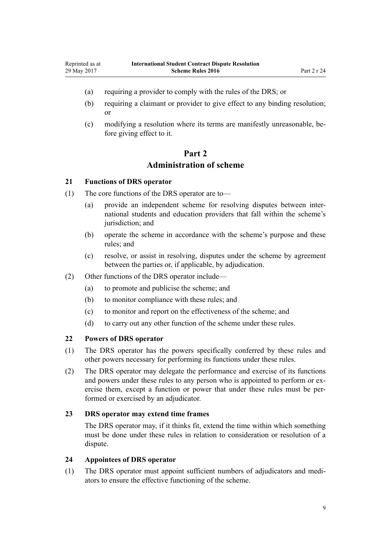- <span id="page-8-0"></span>(a) requiring a provider to comply with the rules of the DRS; or
- (b) requiring a claimant or provider to give effect to any binding resolution; or
- (c) modifying a resolution where its terms are manifestly unreasonable, before giving effect to it.

# **Part 2 Administration of scheme**

#### **21 Functions of DRS operator**

- (1) The core functions of the DRS operator are to—
	- (a) provide an independent scheme for resolving disputes between international students and education providers that fall within the scheme's jurisdiction; and
	- (b) operate the scheme in accordance with the scheme's purpose and these rules; and
	- (c) resolve, or assist in resolving, disputes under the scheme by agreement between the parties or, if applicable, by adjudication.
- (2) Other functions of the DRS operator include—
	- (a) to promote and publicise the scheme; and
	- (b) to monitor compliance with these rules; and
	- (c) to monitor and report on the effectiveness of the scheme; and
	- (d) to carry out any other function of the scheme under these rules.

#### **22 Powers of DRS operator**

- (1) The DRS operator has the powers specifically conferred by these rules and other powers necessary for performing its functions under these rules.
- (2) The DRS operator may delegate the performance and exercise of its functions and powers under these rules to any person who is appointed to perform or exercise them, except a function or power that under these rules must be performed or exercised by an adjudicator.

#### **23 DRS operator may extend time frames**

The DRS operator may, if it thinks fit, extend the time within which something must be done under these rules in relation to consideration or resolution of a dispute.

## **24 Appointees of DRS operator**

(1) The DRS operator must appoint sufficient numbers of adjudicators and mediators to ensure the effective functioning of the scheme.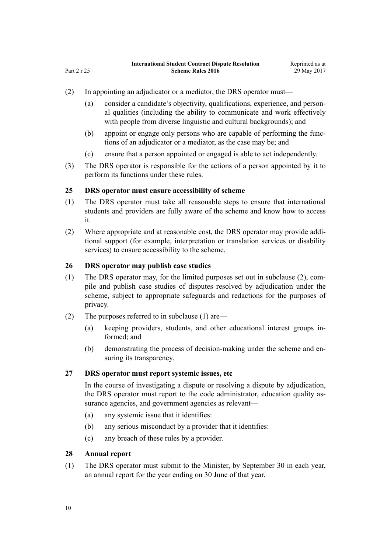- <span id="page-9-0"></span>(2) In appointing an adjudicator or a mediator, the DRS operator must—
	- (a) consider a candidate's objectivity, qualifications, experience, and personal qualities (including the ability to communicate and work effectively with people from diverse linguistic and cultural backgrounds); and
	- (b) appoint or engage only persons who are capable of performing the functions of an adjudicator or a mediator, as the case may be; and
	- (c) ensure that a person appointed or engaged is able to act independently.
- (3) The DRS operator is responsible for the actions of a person appointed by it to perform its functions under these rules.

#### **25 DRS operator must ensure accessibility of scheme**

- (1) The DRS operator must take all reasonable steps to ensure that international students and providers are fully aware of the scheme and know how to access it.
- (2) Where appropriate and at reasonable cost, the DRS operator may provide additional support (for example, interpretation or translation services or disability services) to ensure accessibility to the scheme.

## **26 DRS operator may publish case studies**

- (1) The DRS operator may, for the limited purposes set out in subclause (2), compile and publish case studies of disputes resolved by adjudication under the scheme, subject to appropriate safeguards and redactions for the purposes of privacy.
- (2) The purposes referred to in subclause (1) are—
	- (a) keeping providers, students, and other educational interest groups informed; and
	- (b) demonstrating the process of decision-making under the scheme and ensuring its transparency.

#### **27 DRS operator must report systemic issues, etc**

In the course of investigating a dispute or resolving a dispute by adjudication, the DRS operator must report to the code administrator, education quality assurance agencies, and government agencies as relevant—

- (a) any systemic issue that it identifies:
- (b) any serious misconduct by a provider that it identifies:
- (c) any breach of these rules by a provider.

#### **28 Annual report**

(1) The DRS operator must submit to the Minister, by September 30 in each year, an annual report for the year ending on 30 June of that year.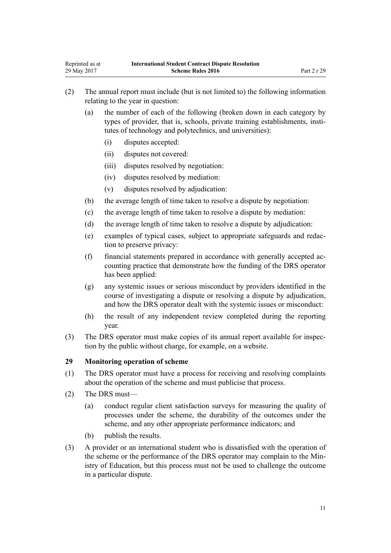- <span id="page-10-0"></span>(2) The annual report must include (but is not limited to) the following information relating to the year in question:
	- (a) the number of each of the following (broken down in each category by types of provider, that is, schools, private training establishments, institutes of technology and polytechnics, and universities):
		- (i) disputes accepted:
		- (ii) disputes not covered:
		- (iii) disputes resolved by negotiation:
		- (iv) disputes resolved by mediation:
		- (v) disputes resolved by adjudication:
	- (b) the average length of time taken to resolve a dispute by negotiation:
	- (c) the average length of time taken to resolve a dispute by mediation:
	- (d) the average length of time taken to resolve a dispute by adjudication:
	- (e) examples of typical cases, subject to appropriate safeguards and redaction to preserve privacy:
	- (f) financial statements prepared in accordance with generally accepted accounting practice that demonstrate how the funding of the DRS operator has been applied:
	- (g) any systemic issues or serious misconduct by providers identified in the course of investigating a dispute or resolving a dispute by adjudication, and how the DRS operator dealt with the systemic issues or misconduct:
	- (h) the result of any independent review completed during the reporting year.
- (3) The DRS operator must make copies of its annual report available for inspection by the public without charge, for example, on a website.

#### **29 Monitoring operation of scheme**

- (1) The DRS operator must have a process for receiving and resolving complaints about the operation of the scheme and must publicise that process.
- (2) The DRS must—
	- (a) conduct regular client satisfaction surveys for measuring the quality of processes under the scheme, the durability of the outcomes under the scheme, and any other appropriate performance indicators; and
	- (b) publish the results.
- (3) A provider or an international student who is dissatisfied with the operation of the scheme or the performance of the DRS operator may complain to the Ministry of Education, but this process must not be used to challenge the outcome in a particular dispute.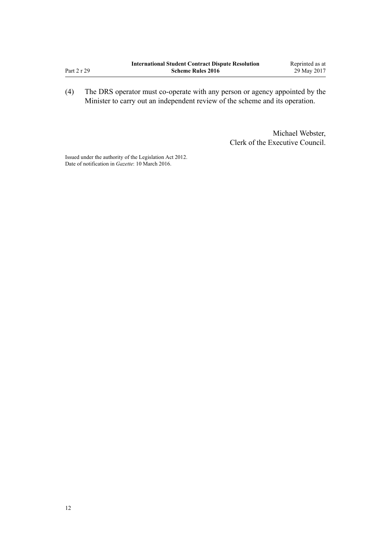|             | <b>International Student Contract Dispute Resolution</b> | Reprinted as at |
|-------------|----------------------------------------------------------|-----------------|
| Part 2 r 29 | <b>Scheme Rules 2016</b>                                 | 29 May 2017     |

(4) The DRS operator must co-operate with any person or agency appointed by the Minister to carry out an independent review of the scheme and its operation.

> Michael Webster, Clerk of the Executive Council.

Issued under the authority of the [Legislation Act 2012](http://prd-lgnz-nlb.prd.pco.net.nz/pdflink.aspx?id=DLM2997643). Date of notification in *Gazette*: 10 March 2016.